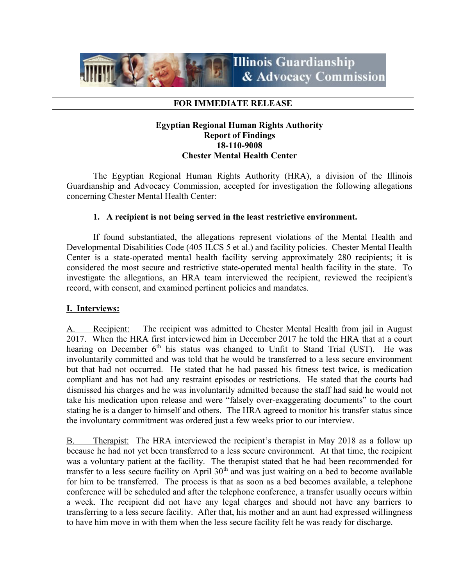

### FOR IMMEDIATE RELEASE

# Egyptian Regional Human Rights Authority Report of Findings 18-110-9008 Chester Mental Health Center

 The Egyptian Regional Human Rights Authority (HRA), a division of the Illinois Guardianship and Advocacy Commission, accepted for investigation the following allegations concerning Chester Mental Health Center:

## 1. A recipient is not being served in the least restrictive environment.

If found substantiated, the allegations represent violations of the Mental Health and Developmental Disabilities Code (405 ILCS 5 et al.) and facility policies. Chester Mental Health Center is a state-operated mental health facility serving approximately 280 recipients; it is considered the most secure and restrictive state-operated mental health facility in the state. To investigate the allegations, an HRA team interviewed the recipient, reviewed the recipient's record, with consent, and examined pertinent policies and mandates.

## I. Interviews:

A. Recipient: The recipient was admitted to Chester Mental Health from jail in August 2017. When the HRA first interviewed him in December 2017 he told the HRA that at a court hearing on December  $6<sup>th</sup>$  his status was changed to Unfit to Stand Trial (UST). He was involuntarily committed and was told that he would be transferred to a less secure environment but that had not occurred. He stated that he had passed his fitness test twice, is medication compliant and has not had any restraint episodes or restrictions. He stated that the courts had dismissed his charges and he was involuntarily admitted because the staff had said he would not take his medication upon release and were "falsely over-exaggerating documents" to the court stating he is a danger to himself and others. The HRA agreed to monitor his transfer status since the involuntary commitment was ordered just a few weeks prior to our interview.

B. Therapist: The HRA interviewed the recipient's therapist in May 2018 as a follow up because he had not yet been transferred to a less secure environment. At that time, the recipient was a voluntary patient at the facility. The therapist stated that he had been recommended for transfer to a less secure facility on April  $30<sup>th</sup>$  and was just waiting on a bed to become available for him to be transferred. The process is that as soon as a bed becomes available, a telephone conference will be scheduled and after the telephone conference, a transfer usually occurs within a week. The recipient did not have any legal charges and should not have any barriers to transferring to a less secure facility. After that, his mother and an aunt had expressed willingness to have him move in with them when the less secure facility felt he was ready for discharge.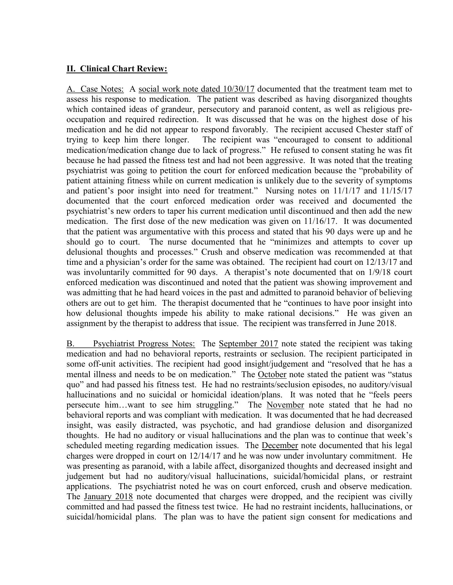# II. Clinical Chart Review:

A. Case Notes: A social work note dated 10/30/17 documented that the treatment team met to assess his response to medication. The patient was described as having disorganized thoughts which contained ideas of grandeur, persecutory and paranoid content, as well as religious preoccupation and required redirection. It was discussed that he was on the highest dose of his medication and he did not appear to respond favorably. The recipient accused Chester staff of trying to keep him there longer. The recipient was "encouraged to consent to additional medication/medication change due to lack of progress." He refused to consent stating he was fit because he had passed the fitness test and had not been aggressive. It was noted that the treating psychiatrist was going to petition the court for enforced medication because the "probability of patient attaining fitness while on current medication is unlikely due to the severity of symptoms and patient's poor insight into need for treatment." Nursing notes on 11/1/17 and 11/15/17 documented that the court enforced medication order was received and documented the psychiatrist's new orders to taper his current medication until discontinued and then add the new medication. The first dose of the new medication was given on  $11/16/17$ . It was documented that the patient was argumentative with this process and stated that his 90 days were up and he should go to court. The nurse documented that he "minimizes and attempts to cover up delusional thoughts and processes." Crush and observe medication was recommended at that time and a physician's order for the same was obtained. The recipient had court on 12/13/17 and was involuntarily committed for 90 days. A therapist's note documented that on 1/9/18 court enforced medication was discontinued and noted that the patient was showing improvement and was admitting that he had heard voices in the past and admitted to paranoid behavior of believing others are out to get him. The therapist documented that he "continues to have poor insight into how delusional thoughts impede his ability to make rational decisions." He was given an assignment by the therapist to address that issue. The recipient was transferred in June 2018.

B. Psychiatrist Progress Notes: The September 2017 note stated the recipient was taking medication and had no behavioral reports, restraints or seclusion. The recipient participated in some off-unit activities. The recipient had good insight/judgement and "resolved that he has a mental illness and needs to be on medication." The October note stated the patient was "status quo" and had passed his fitness test. He had no restraints/seclusion episodes, no auditory/visual hallucinations and no suicidal or homicidal ideation/plans. It was noted that he "feels peers persecute him...want to see him struggling." The November note stated that he had no behavioral reports and was compliant with medication. It was documented that he had decreased insight, was easily distracted, was psychotic, and had grandiose delusion and disorganized thoughts. He had no auditory or visual hallucinations and the plan was to continue that week's scheduled meeting regarding medication issues. The December note documented that his legal charges were dropped in court on 12/14/17 and he was now under involuntary commitment. He was presenting as paranoid, with a labile affect, disorganized thoughts and decreased insight and judgement but had no auditory/visual hallucinations, suicidal/homicidal plans, or restraint applications. The psychiatrist noted he was on court enforced, crush and observe medication. The January 2018 note documented that charges were dropped, and the recipient was civilly committed and had passed the fitness test twice. He had no restraint incidents, hallucinations, or suicidal/homicidal plans. The plan was to have the patient sign consent for medications and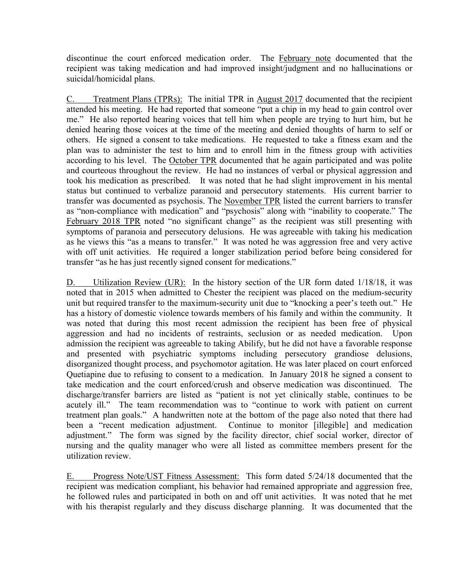discontinue the court enforced medication order. The February note documented that the recipient was taking medication and had improved insight/judgment and no hallucinations or suicidal/homicidal plans.

C. Treatment Plans (TPRs): The initial TPR in August 2017 documented that the recipient attended his meeting. He had reported that someone "put a chip in my head to gain control over me." He also reported hearing voices that tell him when people are trying to hurt him, but he denied hearing those voices at the time of the meeting and denied thoughts of harm to self or others. He signed a consent to take medications. He requested to take a fitness exam and the plan was to administer the test to him and to enroll him in the fitness group with activities according to his level. The October TPR documented that he again participated and was polite and courteous throughout the review. He had no instances of verbal or physical aggression and took his medication as prescribed. It was noted that he had slight improvement in his mental status but continued to verbalize paranoid and persecutory statements. His current barrier to transfer was documented as psychosis. The November TPR listed the current barriers to transfer as "non-compliance with medication" and "psychosis" along with "inability to cooperate." The February 2018 TPR noted "no significant change" as the recipient was still presenting with symptoms of paranoia and persecutory delusions. He was agreeable with taking his medication as he views this "as a means to transfer." It was noted he was aggression free and very active with off unit activities. He required a longer stabilization period before being considered for transfer "as he has just recently signed consent for medications."

D. Utilization Review (UR): In the history section of the UR form dated 1/18/18, it was noted that in 2015 when admitted to Chester the recipient was placed on the medium-security unit but required transfer to the maximum-security unit due to "knocking a peer's teeth out." He has a history of domestic violence towards members of his family and within the community. It was noted that during this most recent admission the recipient has been free of physical aggression and had no incidents of restraints, seclusion or as needed medication. Upon admission the recipient was agreeable to taking Abilify, but he did not have a favorable response and presented with psychiatric symptoms including persecutory grandiose delusions, disorganized thought process, and psychomotor agitation. He was later placed on court enforced Quetiapine due to refusing to consent to a medication. In January 2018 he signed a consent to take medication and the court enforced/crush and observe medication was discontinued. The discharge/transfer barriers are listed as "patient is not yet clinically stable, continues to be acutely ill." The team recommendation was to "continue to work with patient on current treatment plan goals." A handwritten note at the bottom of the page also noted that there had been a "recent medication adjustment. Continue to monitor [illegible] and medication adjustment." The form was signed by the facility director, chief social worker, director of nursing and the quality manager who were all listed as committee members present for the utilization review.

E. Progress Note/UST Fitness Assessment: This form dated 5/24/18 documented that the recipient was medication compliant, his behavior had remained appropriate and aggression free, he followed rules and participated in both on and off unit activities. It was noted that he met with his therapist regularly and they discuss discharge planning. It was documented that the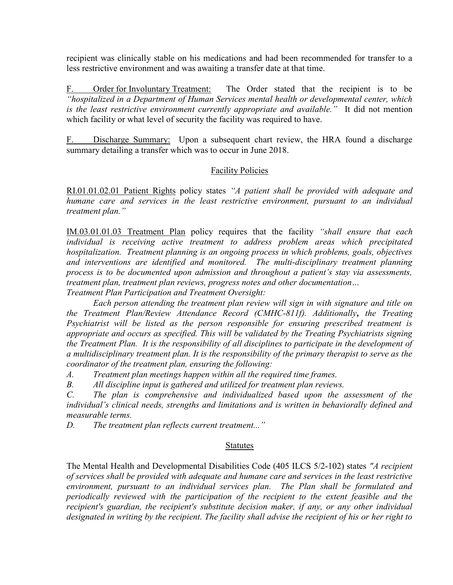recipient was clinically stable on his medications and had been recommended for transfer to a less restrictive environment and was awaiting a transfer date at that time.

F. Order for Involuntary Treatment: The Order stated that the recipient is to be "hospitalized in a Department of Human Services mental health or developmental center, which is the least restrictive environment currently appropriate and available." It did not mention which facility or what level of security the facility was required to have.

F. Discharge Summary: Upon a subsequent chart review, the HRA found a discharge summary detailing a transfer which was to occur in June 2018.

# Facility Policies

RI.01.01.02.01 Patient Rights policy states "A patient shall be provided with adequate and humane care and services in the least restrictive environment, pursuant to an individual treatment plan."

IM.03.01.01.03 Treatment Plan policy requires that the facility "shall ensure that each individual is receiving active treatment to address problem areas which precipitated hospitalization. Treatment planning is an ongoing process in which problems, goals, objectives and interventions are identified and monitored. The multi-disciplinary treatment planning process is to be documented upon admission and throughout a patient's stay via assessments, treatment plan, treatment plan reviews, progress notes and other documentation…

Treatment Plan Participation and Treatment Oversight:

 Each person attending the treatment plan review will sign in with signature and title on the Treatment Plan/Review Attendance Record (CMHC-811f). Additionally, the Treating Psychiatrist will be listed as the person responsible for ensuring prescribed treatment is appropriate and occurs as specified. This will be validated by the Treating Psychiatrists signing the Treatment Plan. It is the responsibility of all disciplines to participate in the development of a multidisciplinary treatment plan. It is the responsibility of the primary therapist to serve as the coordinator of the treatment plan, ensuring the following:

A. Treatment plan meetings happen within all the required time frames.

B. All discipline input is gathered and utilized for treatment plan reviews.

C. The plan is comprehensive and individualized based upon the assessment of the individual's clinical needs, strengths and limitations and is written in behaviorally defined and measurable terms.

D. The treatment plan reflects current treatment..."

## Statutes

The Mental Health and Developmental Disabilities Code (405 ILCS 5/2-102) states "A recipient of services shall be provided with adequate and humane care and services in the least restrictive environment, pursuant to an individual services plan. The Plan shall be formulated and periodically reviewed with the participation of the recipient to the extent feasible and the recipient's guardian, the recipient's substitute decision maker, if any, or any other individual designated in writing by the recipient. The facility shall advise the recipient of his or her right to